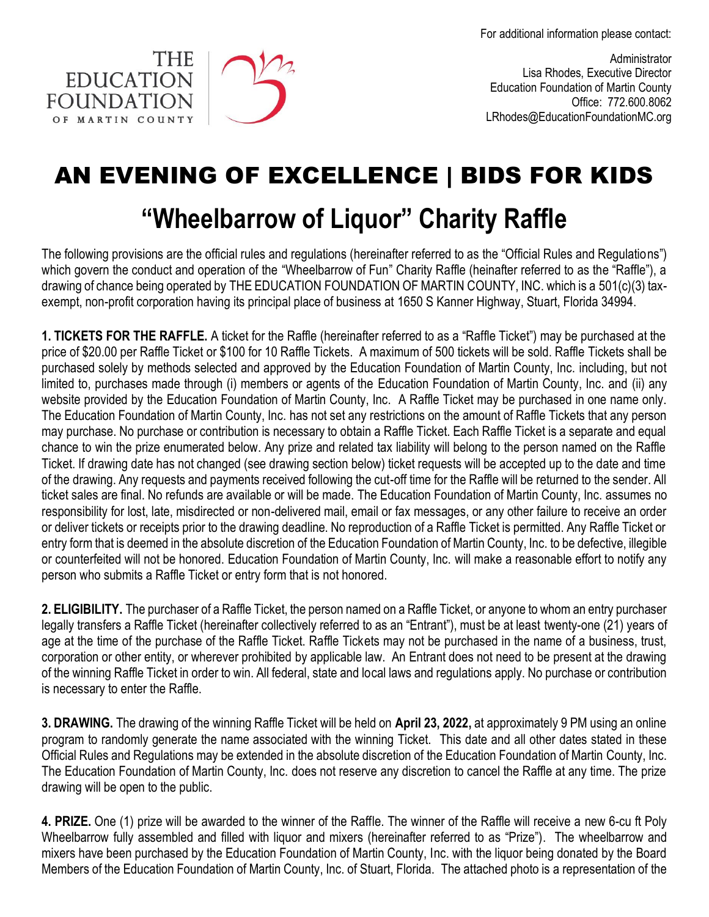For additional information please contact:





Administrator Lisa Rhodes, Executive Director Education Foundation of Martin County Office: 772.600.8062 LRhodes@EducationFoundationMC.org

## AN EVENING OF EXCELLENCE | BIDS FOR KIDS

## **"Wheelbarrow of Liquor" Charity Raffle**

The following provisions are the official rules and regulations (hereinafter referred to as the "Official Rules and Regulations") which govern the conduct and operation of the "Wheelbarrow of Fun" Charity Raffle (heinafter referred to as the "Raffle"), a drawing of chance being operated by THE EDUCATION FOUNDATION OF MARTIN COUNTY, INC. which is a 501(c)(3) taxexempt, non-profit corporation having its principal place of business at 1650 S Kanner Highway, Stuart, Florida 34994.

**1. TICKETS FOR THE RAFFLE.** A ticket for the Raffle (hereinafter referred to as a "Raffle Ticket") may be purchased at the price of \$20.00 per Raffle Ticket or \$100 for 10 Raffle Tickets. A maximum of 500 tickets will be sold. Raffle Tickets shall be purchased solely by methods selected and approved by the Education Foundation of Martin County, Inc. including, but not limited to, purchases made through (i) members or agents of the Education Foundation of Martin County, Inc. and (ii) any website provided by the Education Foundation of Martin County, Inc. A Raffle Ticket may be purchased in one name only. The Education Foundation of Martin County, Inc. has not set any restrictions on the amount of Raffle Tickets that any person may purchase. No purchase or contribution is necessary to obtain a Raffle Ticket. Each Raffle Ticket is a separate and equal chance to win the prize enumerated below. Any prize and related tax liability will belong to the person named on the Raffle Ticket. If drawing date has not changed (see drawing section below) ticket requests will be accepted up to the date and time of the drawing. Any requests and payments received following the cut-off time for the Raffle will be returned to the sender. All ticket sales are final. No refunds are available or will be made. The Education Foundation of Martin County, Inc. assumes no responsibility for lost, late, misdirected or non-delivered mail, email or fax messages, or any other failure to receive an order or deliver tickets or receipts prior to the drawing deadline. No reproduction of a Raffle Ticket is permitted. Any Raffle Ticket or entry form that is deemed in the absolute discretion of the Education Foundation of Martin County, Inc. to be defective, illegible or counterfeited will not be honored. Education Foundation of Martin County, Inc. will make a reasonable effort to notify any person who submits a Raffle Ticket or entry form that is not honored.

**2. ELIGIBILITY.** The purchaser of a Raffle Ticket, the person named on a Raffle Ticket, or anyone to whom an entry purchaser legally transfers a Raffle Ticket (hereinafter collectively referred to as an "Entrant"), must be at least twenty-one (21) years of age at the time of the purchase of the Raffle Ticket. Raffle Tickets may not be purchased in the name of a business, trust, corporation or other entity, or wherever prohibited by applicable law. An Entrant does not need to be present at the drawing of the winning Raffle Ticket in order to win. All federal, state and local laws and regulations apply. No purchase or contribution is necessary to enter the Raffle.

**3. DRAWING.** The drawing of the winning Raffle Ticket will be held on **April 23, 2022,** at approximately 9 PM using an online program to randomly generate the name associated with the winning Ticket. This date and all other dates stated in these Official Rules and Regulations may be extended in the absolute discretion of the Education Foundation of Martin County, Inc. The Education Foundation of Martin County, Inc. does not reserve any discretion to cancel the Raffle at any time. The prize drawing will be open to the public.

**4. PRIZE.** One (1) prize will be awarded to the winner of the Raffle. The winner of the Raffle will receive a new 6-cu ft Poly Wheelbarrow fully assembled and filled with liquor and mixers (hereinafter referred to as "Prize"). The wheelbarrow and mixers have been purchased by the Education Foundation of Martin County, Inc. with the liquor being donated by the Board Members of the Education Foundation of Martin County, Inc. of Stuart, Florida. The attached photo is a representation of the